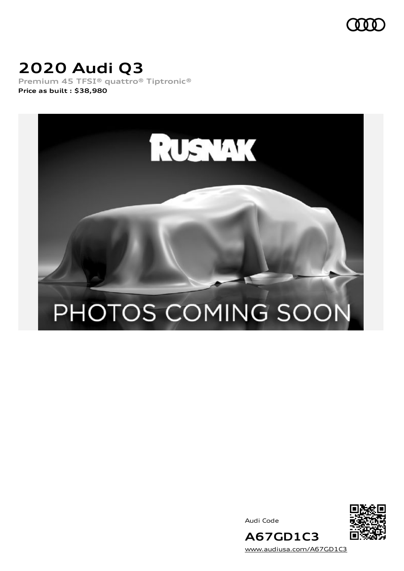

# **2020 Audi Q3**

**Premium 45 TFSI® quattro® Tiptronic® Price as built [:](#page-10-0) \$38,980**



Audi Code



[www.audiusa.com/A67GD1C3](https://www.audiusa.com/A67GD1C3)

**A67GD1C3**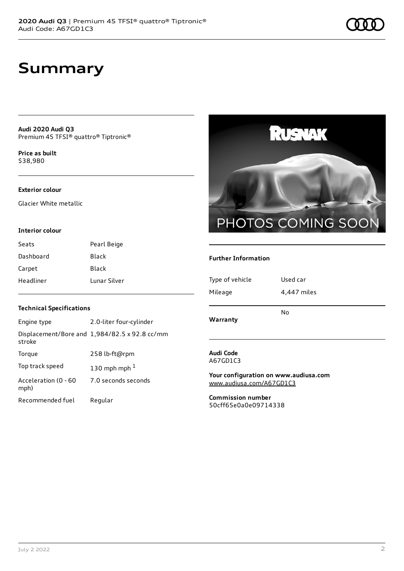## **Summary**

**Audi 2020 Audi Q3** Premium 45 TFSI® quattro® Tiptronic®

**Price as buil[t](#page-10-0)** \$38,980

### **Exterior colour**

Glacier White metallic

### **Interior colour**

| Seats     | Pearl Beige  |
|-----------|--------------|
| Dashboard | Black        |
| Carpet    | Black        |
| Headliner | Lunar Silver |



### **Further Information**

| Warranty        | No          |
|-----------------|-------------|
| Mileage         | 4,447 miles |
| Type of vehicle | Used car    |

## **Audi Code**

A67GD1C3

**Your configuration on www.audiusa.com** [www.audiusa.com/A67GD1C3](https://www.audiusa.com/A67GD1C3)

**Commission number** 50cff65e0a0e09714338

### **Technical Specifications**

| Engine type                  | 2.0-liter four-cylinder                       |
|------------------------------|-----------------------------------------------|
| stroke                       | Displacement/Bore and 1,984/82.5 x 92.8 cc/mm |
| Torque                       | 258 lb-ft@rpm                                 |
| Top track speed              | 130 mph mph $1$                               |
| Acceleration (0 - 60<br>mph) | 7.0 seconds seconds                           |
| Recommended fuel             | Regular                                       |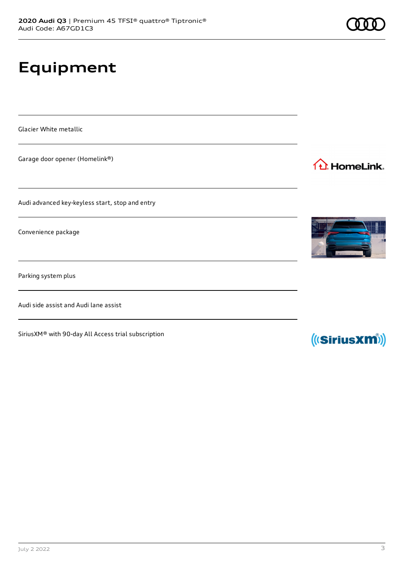# **Equipment**

Glacier White metallic

Garage door opener (Homelink®)

Audi advanced key-keyless start, stop and entry

Convenience package

Parking system plus

Audi side assist and Audi lane assist

SiriusXM® with 90-day All Access trial subscription







1<sup>1</sup> HomeLink.

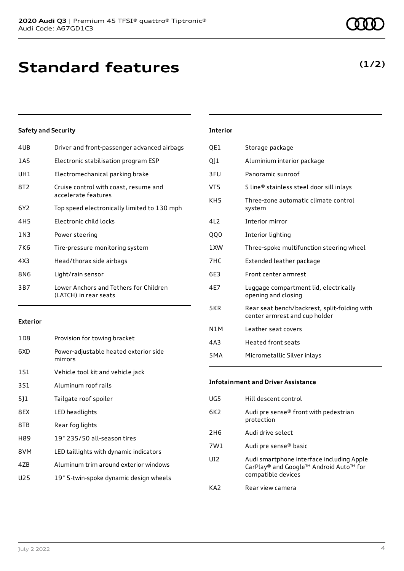### **Safety and Security**

| 4UB   | Driver and front-passenger advanced airbags                     |
|-------|-----------------------------------------------------------------|
| 1AS   | Electronic stabilisation program ESP                            |
| UH1   | Electromechanical parking brake                                 |
| 8T2   | Cruise control with coast, resume and<br>accelerate features    |
| 6Y2   | Top speed electronically limited to 130 mph                     |
| 4H5   | Electronic child locks                                          |
| 1 N 3 | Power steering                                                  |
| 7K6   | Tire-pressure monitoring system                                 |
| 4X3   | Head/thorax side airbags                                        |
| 8N6   | Light/rain sensor                                               |
| 3B7   | Lower Anchors and Tethers for Children<br>(LATCH) in rear seats |
|       |                                                                 |

#### **Exterior**

| 1D <sub>8</sub> | Provision for towing bracket                     |
|-----------------|--------------------------------------------------|
| 6XD             | Power-adjustable heated exterior side<br>mirrors |
| 1S1             | Vehicle tool kit and vehicle jack                |
| 3S1             | Aluminum roof rails                              |
| 5]1             | Tailgate roof spoiler                            |
| 8EX             | LED headlights                                   |
| 8TB             | Rear fog lights                                  |
| H89             | 19" 235/50 all-season tires                      |
| 8VM             | LED taillights with dynamic indicators           |
| 47 <sub>B</sub> | Aluminum trim around exterior windows            |
| U25             | 19" 5-twin-spoke dynamic design wheels           |
|                 |                                                  |

### **Interior**

| QE1              | Storage package                                                               |
|------------------|-------------------------------------------------------------------------------|
| QJ1              | Aluminium interior package                                                    |
| 3FU              | Panoramic sunroof                                                             |
| VT5              | S line® stainless steel door sill inlays                                      |
| KH5              | Three-zone automatic climate control<br>system                                |
| 412              | Interior mirror                                                               |
| 000              | Interior lighting                                                             |
| 1 XW             | Three-spoke multifunction steering wheel                                      |
| 7HC              | Extended leather package                                                      |
| 6E3              | Front center armrest                                                          |
| 4F7              | Luggage compartment lid, electrically<br>opening and closing                  |
| 5KR              | Rear seat bench/backrest, split-folding with<br>center armrest and cup holder |
| N1M              | Leather seat covers                                                           |
| 4A3              | <b>Heated front seats</b>                                                     |
| 5 <sub>M</sub> A | Micrometallic Silver inlays                                                   |

### **Infotainment and Driver Assistance**

| UG5 | Hill descent control                                                                                      |
|-----|-----------------------------------------------------------------------------------------------------------|
| 6K2 | Audi pre sense® front with pedestrian<br>protection                                                       |
| 2H6 | Audi drive select                                                                                         |
| 7W1 | Audi pre sense <sup>®</sup> basic                                                                         |
| UI2 | Audi smartphone interface including Apple<br>CarPlay® and Google™ Android Auto™ for<br>compatible devices |
| KA2 | Rear view camera                                                                                          |
|     |                                                                                                           |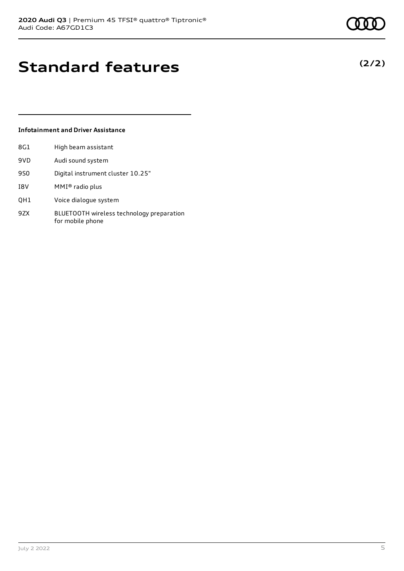**(2/2)**

# **Standard features**

### **Infotainment and Driver Assistance**

| 8G1  | High beam assistant |
|------|---------------------|
| 9VD. | Audi sound system   |

- 9S0 Digital instrument cluster 10.25"
- I8V MMI® radio plus
- QH1 Voice dialogue system
- 9ZX BLUETOOTH wireless technology preparation for mobile phone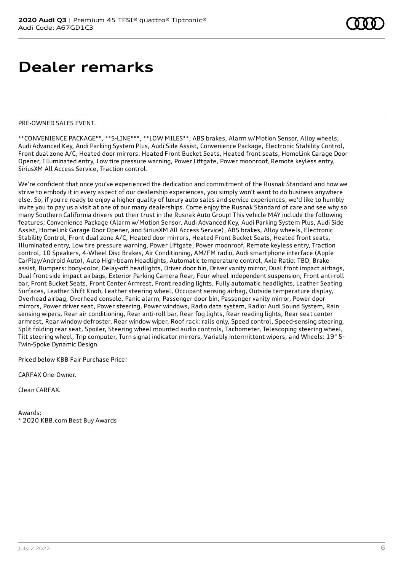### PRE-OWNED SALES EVENT.

\*\*CONVENIENCE PACKAGE\*\*, \*\*S-LINE\*\*\*, \*\*LOW MILES\*\*, ABS brakes, Alarm w/Motion Sensor, Alloy wheels, Audi Advanced Key, Audi Parking System Plus, Audi Side Assist, Convenience Package, Electronic Stability Control, Front dual zone A/C, Heated door mirrors, Heated Front Bucket Seats, Heated front seats, HomeLink Garage Door Opener, Illuminated entry, Low tire pressure warning, Power Liftgate, Power moonroof, Remote keyless entry, SiriusXM All Access Service, Traction control.

We're confident that once you've experienced the dedication and commitment of the Rusnak Standard and how we strive to embody it in every aspect of our dealership experiences, you simply won't want to do business anywhere else. So, if you're ready to enjoy a higher quality of luxury auto sales and service experiences, we'd like to humbly invite you to pay us a visit at one of our many dealerships. Come enjoy the Rusnak Standard of care and see why so many Southern California drivers put their trust in the Rusnak Auto Group! This vehicle MAY include the following features; Convenience Package (Alarm w/Motion Sensor, Audi Advanced Key, Audi Parking System Plus, Audi Side Assist, HomeLink Garage Door Opener, and SiriusXM All Access Service), ABS brakes, Alloy wheels, Electronic Stability Control, Front dual zone A/C, Heated door mirrors, Heated Front Bucket Seats, Heated front seats, Illuminated entry, Low tire pressure warning, Power Liftgate, Power moonroof, Remote keyless entry, Traction control, 10 Speakers, 4-Wheel Disc Brakes, Air Conditioning, AM/FM radio, Audi smartphone interface (Apple CarPlay/Android Auto), Auto High-beam Headlights, Automatic temperature control, Axle Ratio: TBD, Brake assist, Bumpers: body-color, Delay-off headlights, Driver door bin, Driver vanity mirror, Dual front impact airbags, Dual front side impact airbags, Exterior Parking Camera Rear, Four wheel independent suspension, Front anti-roll bar, Front Bucket Seats, Front Center Armrest, Front reading lights, Fully automatic headlights, Leather Seating Surfaces, Leather Shift Knob, Leather steering wheel, Occupant sensing airbag, Outside temperature display, Overhead airbag, Overhead console, Panic alarm, Passenger door bin, Passenger vanity mirror, Power door mirrors, Power driver seat, Power steering, Power windows, Radio data system, Radio: Audi Sound System, Rain sensing wipers, Rear air conditioning, Rear anti-roll bar, Rear fog lights, Rear reading lights, Rear seat center armrest, Rear window defroster, Rear window wiper, Roof rack: rails only, Speed control, Speed-sensing steering, Split folding rear seat, Spoiler, Steering wheel mounted audio controls, Tachometer, Telescoping steering wheel, Tilt steering wheel, Trip computer, Turn signal indicator mirrors, Variably intermittent wipers, and Wheels: 19" 5- Twin-Spoke Dynamic Design.

Priced below KBB Fair Purchase Price!

CARFAX One-Owner.

Clean CARFAX.

Awards: \* 2020 KBB.com Best Buy Awards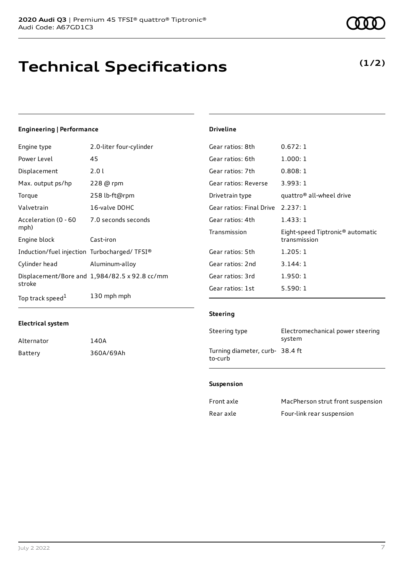# **Technical Specifications**

**(1/2)**

### **Engineering | Performance**

| Engine type                                 | 2.0-liter four-cylinder                       | Gear ratios: 8th        |
|---------------------------------------------|-----------------------------------------------|-------------------------|
| Power Level                                 | 45                                            | Gear ratios: 6th        |
| Displacement                                | 2.01                                          | Gear ratios: 7th        |
| Max. output ps/hp                           | 228 @ rpm                                     | Gear ratios: Reverse    |
| Torque                                      | 258 lb-ft@rpm                                 | Drivetrain type         |
| Valvetrain                                  | 16-valve DOHC                                 | Gear ratios: Final Driv |
| Acceleration (0 - 60                        | 7.0 seconds seconds                           | Gear ratios: 4th        |
| mph)                                        |                                               | Transmission            |
| Engine block                                | Cast-iron                                     |                         |
| Induction/fuel injection Turbocharged/TFSI® |                                               | Gear ratios: 5th        |
| Cylinder head                               | Aluminum-alloy                                | Gear ratios: 2nd        |
|                                             | Displacement/Bore and 1,984/82.5 x 92.8 cc/mm | Gear ratios: 3rd        |
| stroke                                      |                                               | Gear ratios: 1st        |
| Top track speed <sup>1</sup>                | 130 mph mph                                   |                         |

### **Electrical system**

| Alternator | 140A      |
|------------|-----------|
| Battery    | 360A/69Ah |

### **Driveline**

| Gear ratios: 8th                  | 0.672:1                                                      |
|-----------------------------------|--------------------------------------------------------------|
| Gear ratios: 6th                  | 1.000:1                                                      |
| Gear ratios: 7th                  | 0.808:1                                                      |
| Gear ratios: Reverse              | 3.993:1                                                      |
| Drivetrain type                   | quattro <sup>®</sup> all-wheel drive                         |
| Gear ratios: Final Drive 2.237: 1 |                                                              |
| Gear ratios: 4th                  | 1.433:1                                                      |
| Transmission                      | Eight-speed Tiptronic <sup>®</sup> automatic<br>transmission |
| Gear ratios: 5th                  | 1.205:1                                                      |
| Gear ratios: 2nd                  | 3.144:1                                                      |
| Gear ratios: 3rd                  | 1.950:1                                                      |
| Gear ratios: 1st                  | 5.590:1                                                      |
|                                   |                                                              |

### **Steering**

| Steering type                              | Electromechanical power steering<br>system |
|--------------------------------------------|--------------------------------------------|
| Turning diameter, curb- 38.4 ft<br>to-curb |                                            |

### **Suspension**

| Front axle | MacPherson strut front suspension |
|------------|-----------------------------------|
| Rear axle  | Four-link rear suspension         |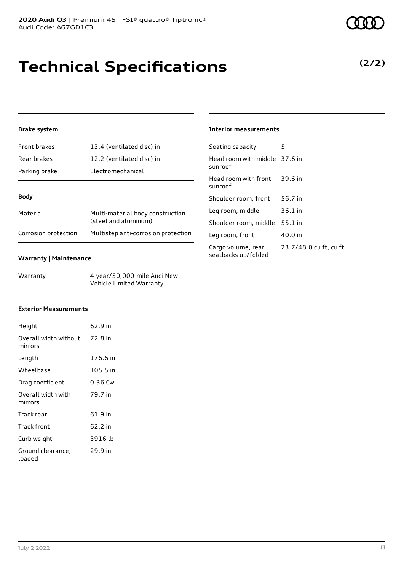# **Technical Specifications**

### **Brake system**

| <b>Front brakes</b>  | 13.4 (ventilated disc) in                                |  |
|----------------------|----------------------------------------------------------|--|
| Rear brakes          | 12.2 (ventilated disc) in                                |  |
| Parking brake        | Electromechanical                                        |  |
|                      |                                                          |  |
| <b>Body</b>          |                                                          |  |
| Material             | Multi-material body construction<br>(steel and aluminum) |  |
| Corrosion protection | Multistep anti-corrosion protection                      |  |

### **Warranty | Maintenance**

| Warranty | 4-year/50,000-mile Audi New |
|----------|-----------------------------|
|          | Vehicle Limited Warranty    |

### **Interior measurements**

| Seating capacity                          | 5                      |
|-------------------------------------------|------------------------|
| Head room with middle 37.6 in<br>sunroof  |                        |
| Head room with front 39.6 in<br>sunroof   |                        |
| Shoulder room, front                      | 56.7 in                |
| Leg room, middle                          | $36.1$ in              |
| Shoulder room, middle                     | 55.1 in                |
| Leg room, front                           | 40.0 in                |
| Cargo volume, rear<br>seatbacks up/folded | 23.7/48.0 cu ft, cu ft |

### **Exterior Measurements**

| Height                                   | 62.9 in  |
|------------------------------------------|----------|
| Overall width without 72.8 in<br>mirrors |          |
| Length                                   | 176.6 in |
| Wheelbase                                | 105.5 in |
| Drag coefficient                         | 0.36 Cw  |
| Overall width with<br>mirrors            | 79.7 in  |
| Track rear                               | 61.9 in  |
| Track front                              | 62.2 in  |
| Curb weight                              | 3916 lb  |
| Ground clearance,<br>loaded              | 29.9 in  |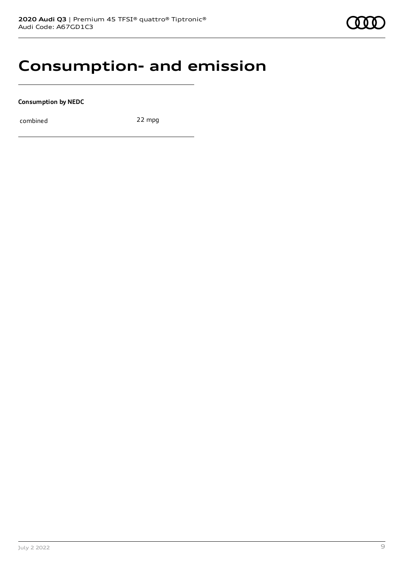## **Consumption- and emission**

**Consumption by NEDC**

combined 22 mpg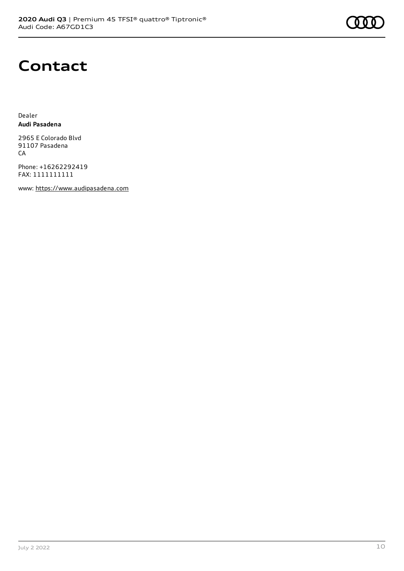

## **Contact**

Dealer **Audi Pasadena**

2965 E Colorado Blvd 91107 Pasadena CA

Phone: +16262292419 FAX: 1111111111

www: [https://www.audipasadena.com](https://www.audipasadena.com/)